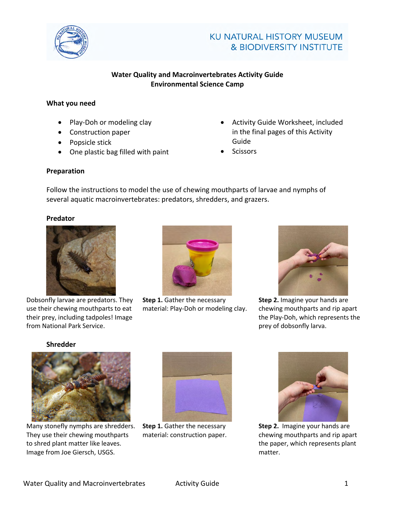

### **Water Quality and Macroinvertebrates Activity Guide Environmental Science Camp**

### **What you need**

- Play-Doh or modeling clay
- Construction paper
- Popsicle stick
- One plastic bag filled with paint
- Activity Guide Worksheet, included in the final pages of this Activity Guide
- **Scissors**

### **Preparation**

Follow the instructions to model the use of chewing mouthparts of larvae and nymphs of several aquatic macroinvertebrates: predators, shredders, and grazers.

### **Predator**



Dobsonfly larvae are predators. They use their chewing mouthparts to eat their prey, including tadpoles! Image from National Park Service.



**Step 1.** Gather the necessary material: Play-Doh or modeling clay.



**Step 2.** Imagine your hands are chewing mouthparts and rip apart the Play-Doh, which represents the prey of dobsonfly larva.

### **Shredder**



Many stonefly nymphs are shredders. They use their chewing mouthparts to shred plant matter like leaves. Image from Joe Giersch, USGS.



**Step 1.** Gather the necessary material: construction paper.



**Step 2.** Imagine your hands are chewing mouthparts and rip apart the paper, which represents plant matter.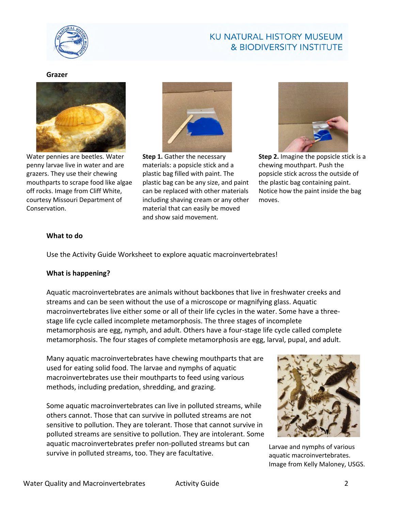

### **Grazer**



Water pennies are beetles. Water penny larvae live in water and are grazers. They use their chewing mouthparts to scrape food like algae off rocks. Image from Cliff White, courtesy Missouri Department of Conservation.



**Step 1.** Gather the necessary materials: a popsicle stick and a plastic bag filled with paint. The plastic bag can be any size, and paint can be replaced with other materials including shaving cream or any other material that can easily be moved and show said movement.



**Step 2.** Imagine the popsicle stick is a chewing mouthpart. Push the popsicle stick across the outside of the plastic bag containing paint. Notice how the paint inside the bag moves.

### **What to do**

Use the Activity Guide Worksheet to explore aquatic macroinvertebrates!

### **What is happening?**

Aquatic macroinvertebrates are animals without backbones that live in freshwater creeks and streams and can be seen without the use of a microscope or magnifying glass. Aquatic macroinvertebrates live either some or all of their life cycles in the water. Some have a threestage life cycle called incomplete metamorphosis. The three stages of incomplete metamorphosis are egg, nymph, and adult. Others have a four-stage life cycle called complete metamorphosis. The four stages of complete metamorphosis are egg, larval, pupal, and adult.

Many aquatic macroinvertebrates have chewing mouthparts that are used for eating solid food. The larvae and nymphs of aquatic macroinvertebrates use their mouthparts to feed using various methods, including predation, shredding, and grazing.

Some aquatic macroinvertebrates can live in polluted streams, while others cannot. Those that can survive in polluted streams are not sensitive to pollution. They are tolerant. Those that cannot survive in polluted streams are sensitive to pollution. They are intolerant. Some aquatic macroinvertebrates prefer non-polluted streams but can survive in polluted streams, too. They are facultative.



Larvae and nymphs of various aquatic macroinvertebrates. Image from Kelly Maloney, USGS.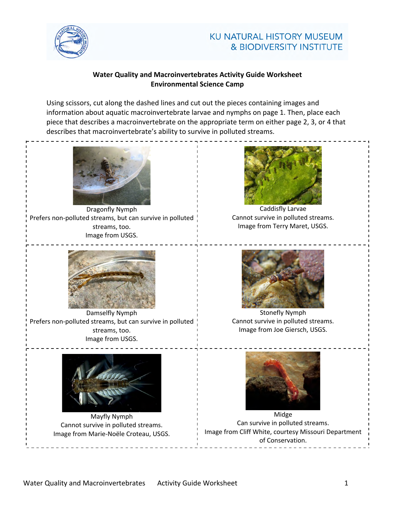

### **Water Quality and Macroinvertebrates Activity Guide Worksheet Environmental Science Camp**

Using scissors, cut along the dashed lines and cut out the pieces containing images and information about aquatic macroinvertebrate larvae and nymphs on page 1. Then, place each piece that describes a macroinvertebrate on the appropriate term on either page 2, 3, or 4 that describes that macroinvertebrate's ability to survive in polluted streams.



Dragonfly Nymph Prefers non-polluted streams, but can survive in polluted streams, too. Image from USGS.



Damselfly Nymph Prefers non-polluted streams, but can survive in polluted streams, too. Image from USGS.



Mayfly Nymph Cannot survive in polluted streams. Image from Marie-Noële Croteau, USGS.



Caddisfly Larvae Cannot survive in polluted streams. Image from Terry Maret, USGS.



Stonefly Nymph Cannot survive in polluted streams. Image from Joe Giersch, USGS.



Midge Can survive in polluted streams. Image from Cliff White, courtesy Missouri Department of Conservation.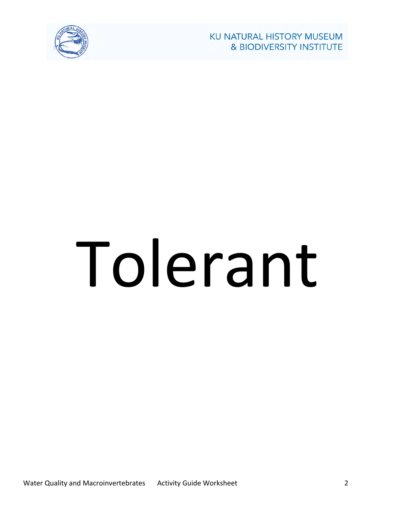

# Tolerant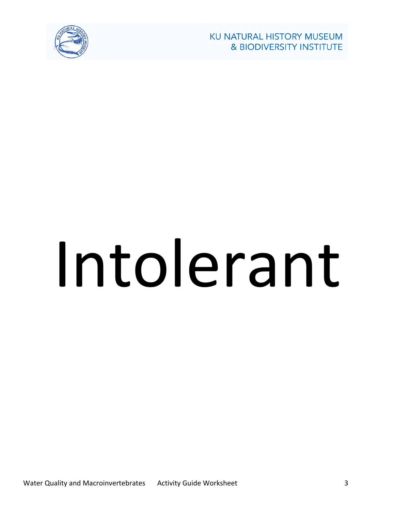

## Intolerant